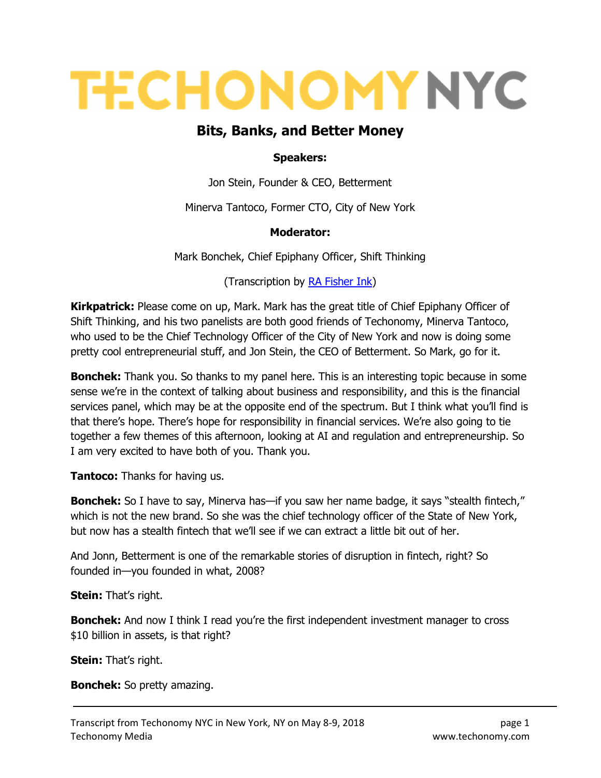# **TECHONOMY NYC**

# Bits, Banks, and Better Money

#### Speakers:

Jon Stein, Founder & CEO, Betterment

Minerva Tantoco, Former CTO, City of New York

#### Moderator:

Mark Bonchek, Chief Epiphany Officer, Shift Thinking

(Transcription by RA Fisher Ink)

**Kirkpatrick:** Please come on up, Mark. Mark has the great title of Chief Epiphany Officer of Shift Thinking, and his two panelists are both good friends of Techonomy, Minerva Tantoco, who used to be the Chief Technology Officer of the City of New York and now is doing some pretty cool entrepreneurial stuff, and Jon Stein, the CEO of Betterment. So Mark, go for it.

**Bonchek:** Thank you. So thanks to my panel here. This is an interesting topic because in some sense we're in the context of talking about business and responsibility, and this is the financial services panel, which may be at the opposite end of the spectrum. But I think what you'll find is that there's hope. There's hope for responsibility in financial services. We're also going to tie together a few themes of this afternoon, looking at AI and regulation and entrepreneurship. So I am very excited to have both of you. Thank you.

**Tantoco:** Thanks for having us.

Bonchek: So I have to say, Minerva has—if you saw her name badge, it says "stealth fintech," which is not the new brand. So she was the chief technology officer of the State of New York, but now has a stealth fintech that we'll see if we can extract a little bit out of her.

And Jonn, Betterment is one of the remarkable stories of disruption in fintech, right? So founded in—you founded in what, 2008?

**Stein:** That's right.

**Bonchek:** And now I think I read you're the first independent investment manager to cross \$10 billion in assets, is that right?

**Stein:** That's right.

Bonchek: So pretty amazing.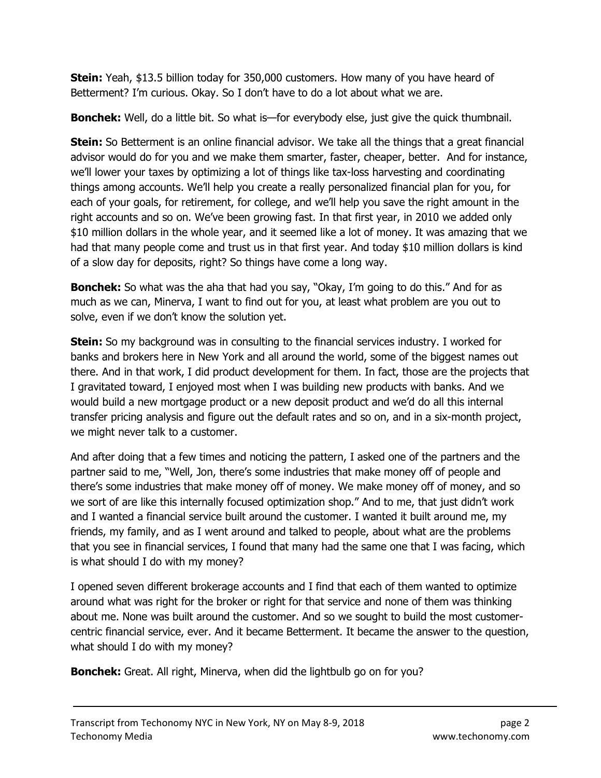**Stein:** Yeah, \$13.5 billion today for 350,000 customers. How many of you have heard of Betterment? I'm curious. Okay. So I don't have to do a lot about what we are.

**Bonchek:** Well, do a little bit. So what is—for everybody else, just give the quick thumbnail.

**Stein:** So Betterment is an online financial advisor. We take all the things that a great financial advisor would do for you and we make them smarter, faster, cheaper, better. And for instance, we'll lower your taxes by optimizing a lot of things like tax-loss harvesting and coordinating things among accounts. We'll help you create a really personalized financial plan for you, for each of your goals, for retirement, for college, and we'll help you save the right amount in the right accounts and so on. We've been growing fast. In that first year, in 2010 we added only \$10 million dollars in the whole year, and it seemed like a lot of money. It was amazing that we had that many people come and trust us in that first year. And today \$10 million dollars is kind of a slow day for deposits, right? So things have come a long way.

**Bonchek:** So what was the aha that had you say, "Okay, I'm going to do this." And for as much as we can, Minerva, I want to find out for you, at least what problem are you out to solve, even if we don't know the solution yet.

**Stein:** So my background was in consulting to the financial services industry. I worked for banks and brokers here in New York and all around the world, some of the biggest names out there. And in that work, I did product development for them. In fact, those are the projects that I gravitated toward, I enjoyed most when I was building new products with banks. And we would build a new mortgage product or a new deposit product and we'd do all this internal transfer pricing analysis and figure out the default rates and so on, and in a six-month project, we might never talk to a customer.

And after doing that a few times and noticing the pattern, I asked one of the partners and the partner said to me, "Well, Jon, there's some industries that make money off of people and there's some industries that make money off of money. We make money off of money, and so we sort of are like this internally focused optimization shop." And to me, that just didn't work and I wanted a financial service built around the customer. I wanted it built around me, my friends, my family, and as I went around and talked to people, about what are the problems that you see in financial services, I found that many had the same one that I was facing, which is what should I do with my money?

I opened seven different brokerage accounts and I find that each of them wanted to optimize around what was right for the broker or right for that service and none of them was thinking about me. None was built around the customer. And so we sought to build the most customercentric financial service, ever. And it became Betterment. It became the answer to the question, what should I do with my money?

Bonchek: Great. All right, Minerva, when did the lightbulb go on for you?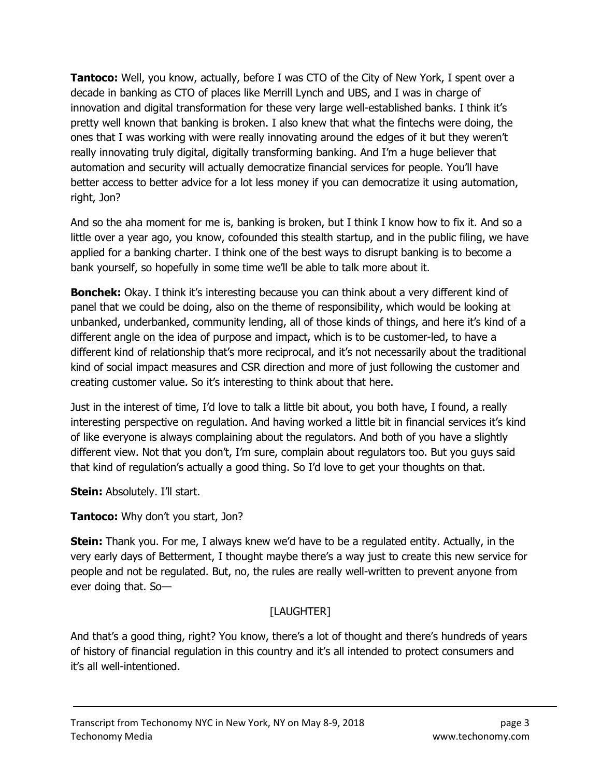**Tantoco:** Well, you know, actually, before I was CTO of the City of New York, I spent over a decade in banking as CTO of places like Merrill Lynch and UBS, and I was in charge of innovation and digital transformation for these very large well-established banks. I think it's pretty well known that banking is broken. I also knew that what the fintechs were doing, the ones that I was working with were really innovating around the edges of it but they weren't really innovating truly digital, digitally transforming banking. And I'm a huge believer that automation and security will actually democratize financial services for people. You'll have better access to better advice for a lot less money if you can democratize it using automation, right, Jon?

And so the aha moment for me is, banking is broken, but I think I know how to fix it. And so a little over a year ago, you know, cofounded this stealth startup, and in the public filing, we have applied for a banking charter. I think one of the best ways to disrupt banking is to become a bank yourself, so hopefully in some time we'll be able to talk more about it.

**Bonchek:** Okay. I think it's interesting because you can think about a very different kind of panel that we could be doing, also on the theme of responsibility, which would be looking at unbanked, underbanked, community lending, all of those kinds of things, and here it's kind of a different angle on the idea of purpose and impact, which is to be customer-led, to have a different kind of relationship that's more reciprocal, and it's not necessarily about the traditional kind of social impact measures and CSR direction and more of just following the customer and creating customer value. So it's interesting to think about that here.

Just in the interest of time, I'd love to talk a little bit about, you both have, I found, a really interesting perspective on regulation. And having worked a little bit in financial services it's kind of like everyone is always complaining about the regulators. And both of you have a slightly different view. Not that you don't, I'm sure, complain about regulators too. But you guys said that kind of regulation's actually a good thing. So I'd love to get your thoughts on that.

**Stein:** Absolutely. I'll start.

**Tantoco:** Why don't you start, Jon?

**Stein:** Thank you. For me, I always knew we'd have to be a regulated entity. Actually, in the very early days of Betterment, I thought maybe there's a way just to create this new service for people and not be regulated. But, no, the rules are really well-written to prevent anyone from ever doing that. So—

# [LAUGHTER]

And that's a good thing, right? You know, there's a lot of thought and there's hundreds of years of history of financial regulation in this country and it's all intended to protect consumers and it's all well-intentioned.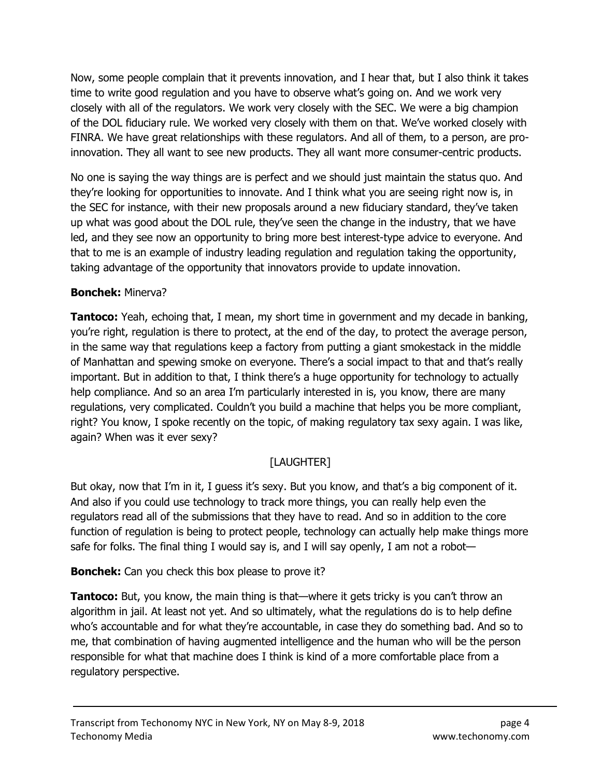Now, some people complain that it prevents innovation, and I hear that, but I also think it takes time to write good regulation and you have to observe what's going on. And we work very closely with all of the regulators. We work very closely with the SEC. We were a big champion of the DOL fiduciary rule. We worked very closely with them on that. We've worked closely with FINRA. We have great relationships with these regulators. And all of them, to a person, are proinnovation. They all want to see new products. They all want more consumer-centric products.

No one is saying the way things are is perfect and we should just maintain the status quo. And they're looking for opportunities to innovate. And I think what you are seeing right now is, in the SEC for instance, with their new proposals around a new fiduciary standard, they've taken up what was good about the DOL rule, they've seen the change in the industry, that we have led, and they see now an opportunity to bring more best interest-type advice to everyone. And that to me is an example of industry leading regulation and regulation taking the opportunity, taking advantage of the opportunity that innovators provide to update innovation.

### Bonchek: Minerva?

**Tantoco:** Yeah, echoing that, I mean, my short time in government and my decade in banking, you're right, regulation is there to protect, at the end of the day, to protect the average person, in the same way that regulations keep a factory from putting a giant smokestack in the middle of Manhattan and spewing smoke on everyone. There's a social impact to that and that's really important. But in addition to that, I think there's a huge opportunity for technology to actually help compliance. And so an area I'm particularly interested in is, you know, there are many regulations, very complicated. Couldn't you build a machine that helps you be more compliant, right? You know, I spoke recently on the topic, of making regulatory tax sexy again. I was like, again? When was it ever sexy?

# [LAUGHTER]

But okay, now that I'm in it, I guess it's sexy. But you know, and that's a big component of it. And also if you could use technology to track more things, you can really help even the regulators read all of the submissions that they have to read. And so in addition to the core function of regulation is being to protect people, technology can actually help make things more safe for folks. The final thing I would say is, and I will say openly, I am not a robot—

**Bonchek:** Can you check this box please to prove it?

**Tantoco:** But, you know, the main thing is that—where it gets tricky is you can't throw an algorithm in jail. At least not yet. And so ultimately, what the regulations do is to help define who's accountable and for what they're accountable, in case they do something bad. And so to me, that combination of having augmented intelligence and the human who will be the person responsible for what that machine does I think is kind of a more comfortable place from a regulatory perspective.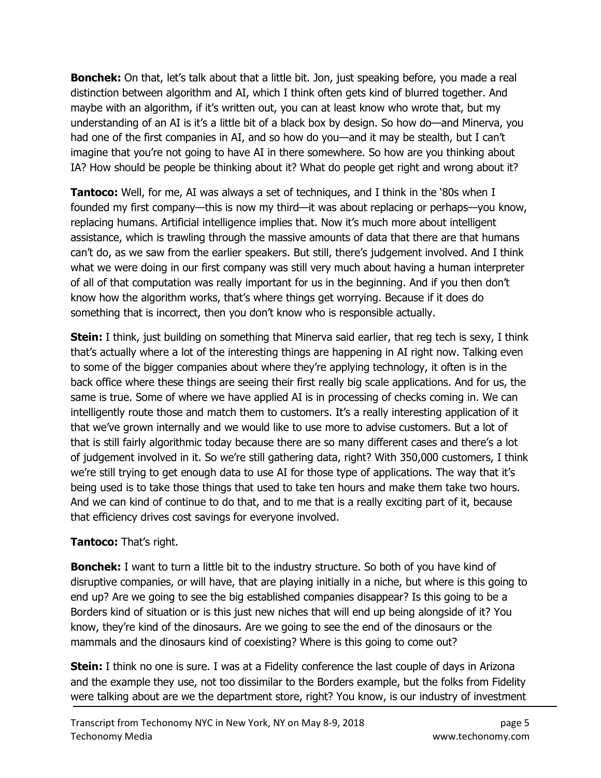**Bonchek:** On that, let's talk about that a little bit. Jon, just speaking before, you made a real distinction between algorithm and AI, which I think often gets kind of blurred together. And maybe with an algorithm, if it's written out, you can at least know who wrote that, but my understanding of an AI is it's a little bit of a black box by design. So how do—and Minerva, you had one of the first companies in AI, and so how do you—and it may be stealth, but I can't imagine that you're not going to have AI in there somewhere. So how are you thinking about IA? How should be people be thinking about it? What do people get right and wrong about it?

**Tantoco:** Well, for me, AI was always a set of techniques, and I think in the '80s when I founded my first company—this is now my third—it was about replacing or perhaps—you know, replacing humans. Artificial intelligence implies that. Now it's much more about intelligent assistance, which is trawling through the massive amounts of data that there are that humans can't do, as we saw from the earlier speakers. But still, there's judgement involved. And I think what we were doing in our first company was still very much about having a human interpreter of all of that computation was really important for us in the beginning. And if you then don't know how the algorithm works, that's where things get worrying. Because if it does do something that is incorrect, then you don't know who is responsible actually.

**Stein:** I think, just building on something that Minerva said earlier, that reg tech is sexy, I think that's actually where a lot of the interesting things are happening in AI right now. Talking even to some of the bigger companies about where they're applying technology, it often is in the back office where these things are seeing their first really big scale applications. And for us, the same is true. Some of where we have applied AI is in processing of checks coming in. We can intelligently route those and match them to customers. It's a really interesting application of it that we've grown internally and we would like to use more to advise customers. But a lot of that is still fairly algorithmic today because there are so many different cases and there's a lot of judgement involved in it. So we're still gathering data, right? With 350,000 customers, I think we're still trying to get enough data to use AI for those type of applications. The way that it's being used is to take those things that used to take ten hours and make them take two hours. And we can kind of continue to do that, and to me that is a really exciting part of it, because that efficiency drives cost savings for everyone involved.

#### **Tantoco:** That's right.

**Bonchek:** I want to turn a little bit to the industry structure. So both of you have kind of disruptive companies, or will have, that are playing initially in a niche, but where is this going to end up? Are we going to see the big established companies disappear? Is this going to be a Borders kind of situation or is this just new niches that will end up being alongside of it? You know, they're kind of the dinosaurs. Are we going to see the end of the dinosaurs or the mammals and the dinosaurs kind of coexisting? Where is this going to come out?

**Stein:** I think no one is sure. I was at a Fidelity conference the last couple of days in Arizona and the example they use, not too dissimilar to the Borders example, but the folks from Fidelity were talking about are we the department store, right? You know, is our industry of investment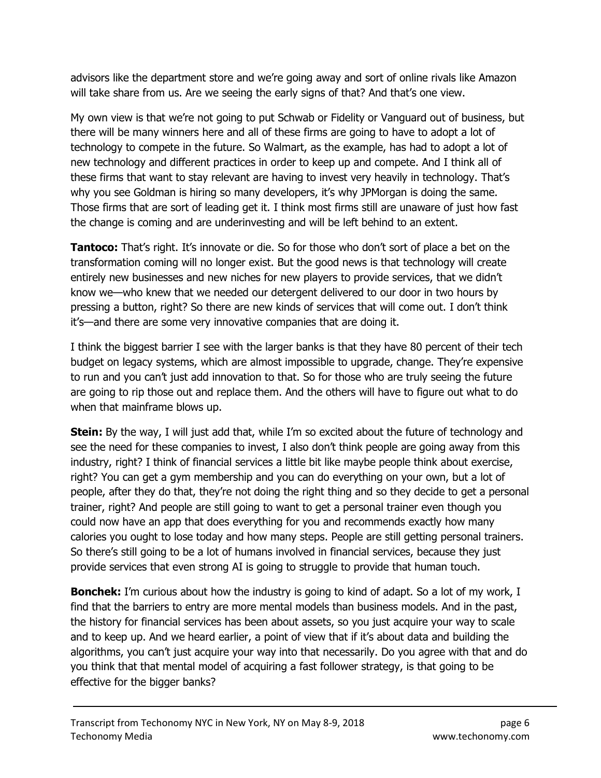advisors like the department store and we're going away and sort of online rivals like Amazon will take share from us. Are we seeing the early signs of that? And that's one view.

My own view is that we're not going to put Schwab or Fidelity or Vanguard out of business, but there will be many winners here and all of these firms are going to have to adopt a lot of technology to compete in the future. So Walmart, as the example, has had to adopt a lot of new technology and different practices in order to keep up and compete. And I think all of these firms that want to stay relevant are having to invest very heavily in technology. That's why you see Goldman is hiring so many developers, it's why JPMorgan is doing the same. Those firms that are sort of leading get it. I think most firms still are unaware of just how fast the change is coming and are underinvesting and will be left behind to an extent.

**Tantoco:** That's right. It's innovate or die. So for those who don't sort of place a bet on the transformation coming will no longer exist. But the good news is that technology will create entirely new businesses and new niches for new players to provide services, that we didn't know we—who knew that we needed our detergent delivered to our door in two hours by pressing a button, right? So there are new kinds of services that will come out. I don't think it's—and there are some very innovative companies that are doing it.

I think the biggest barrier I see with the larger banks is that they have 80 percent of their tech budget on legacy systems, which are almost impossible to upgrade, change. They're expensive to run and you can't just add innovation to that. So for those who are truly seeing the future are going to rip those out and replace them. And the others will have to figure out what to do when that mainframe blows up.

**Stein:** By the way, I will just add that, while I'm so excited about the future of technology and see the need for these companies to invest, I also don't think people are going away from this industry, right? I think of financial services a little bit like maybe people think about exercise, right? You can get a gym membership and you can do everything on your own, but a lot of people, after they do that, they're not doing the right thing and so they decide to get a personal trainer, right? And people are still going to want to get a personal trainer even though you could now have an app that does everything for you and recommends exactly how many calories you ought to lose today and how many steps. People are still getting personal trainers. So there's still going to be a lot of humans involved in financial services, because they just provide services that even strong AI is going to struggle to provide that human touch.

**Bonchek:** I'm curious about how the industry is going to kind of adapt. So a lot of my work, I find that the barriers to entry are more mental models than business models. And in the past, the history for financial services has been about assets, so you just acquire your way to scale and to keep up. And we heard earlier, a point of view that if it's about data and building the algorithms, you can't just acquire your way into that necessarily. Do you agree with that and do you think that that mental model of acquiring a fast follower strategy, is that going to be effective for the bigger banks?